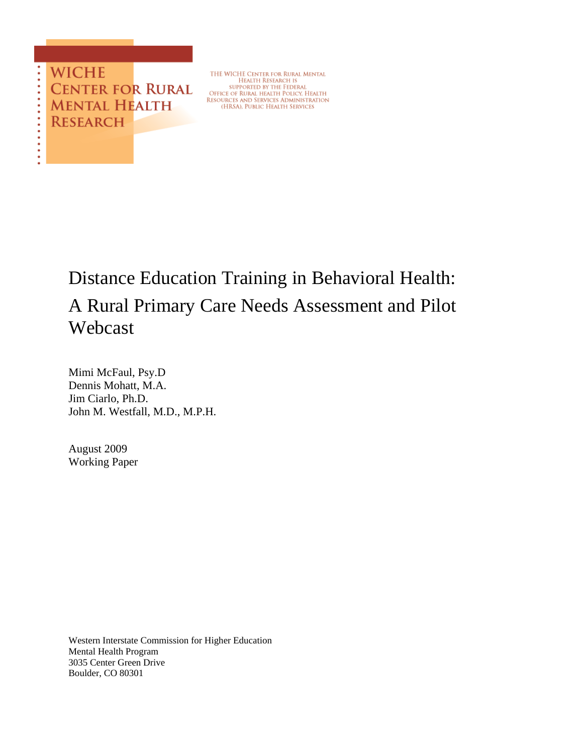

THE WICHE CENTER FOR RURAL MENTAL THE WICHE CENTER FOR KURAL<br>HEALTH RESEARCH IS<br>SUPPORTED BY THE FEDERAL<br>OFFICE OF RURAL HEALTH POLICY. HEALTH<br>RESOURCES AND SERVICES ADMINISTRATION<br>(HRSA), PUBLIC HEALTH SERVICES

# Distance Education Training in Behavioral Health: A Rural Primary Care Needs Assessment and Pilot Webcast

Mimi McFaul, Psy.D Dennis Mohatt, M.A. Jim Ciarlo, Ph.D. John M. Westfall, M.D., M.P.H.

August 2009 Working Paper

Western Interstate Commission for Higher Education Mental Health Program 3035 Center Green Drive Boulder, CO 80301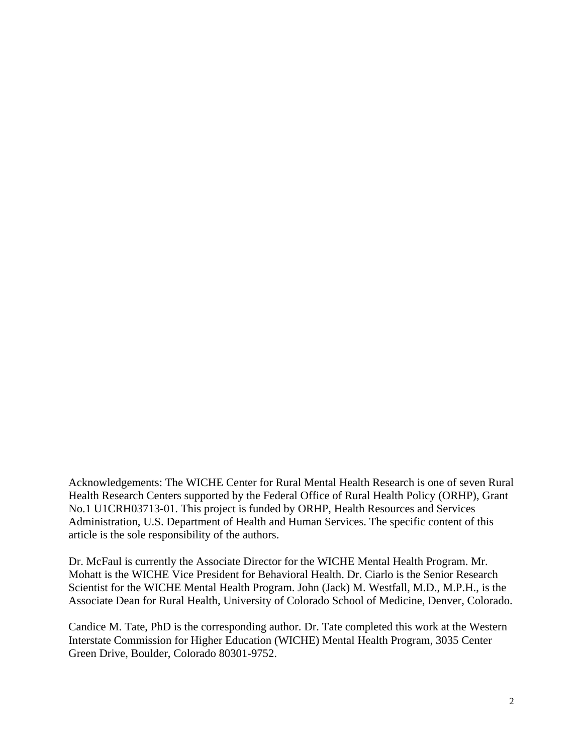Acknowledgements: The WICHE Center for Rural Mental Health Research is one of seven Rural Health Research Centers supported by the Federal Office of Rural Health Policy (ORHP), Grant No.1 U1CRH03713-01. This project is funded by ORHP, Health Resources and Services Administration, U.S. Department of Health and Human Services. The specific content of this article is the sole responsibility of the authors.

Dr. McFaul is currently the Associate Director for the WICHE Mental Health Program. Mr. Mohatt is the WICHE Vice President for Behavioral Health. Dr. Ciarlo is the Senior Research Scientist for the WICHE Mental Health Program. John (Jack) M. Westfall, M.D., M.P.H., is the Associate Dean for Rural Health, University of Colorado School of Medicine, Denver, Colorado.

Candice M. Tate, PhD is the corresponding author. Dr. Tate completed this work at the Western Interstate Commission for Higher Education (WICHE) Mental Health Program, 3035 Center Green Drive, Boulder, Colorado 80301-9752.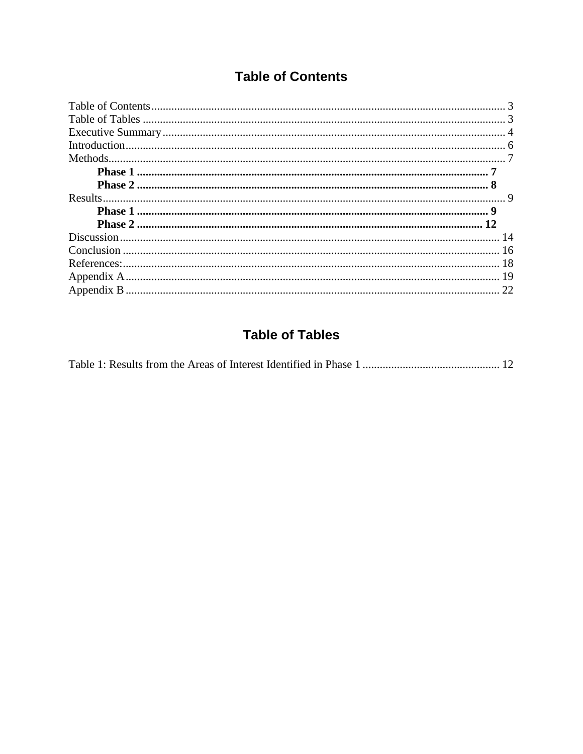## **Table of Contents**

<span id="page-2-0"></span>

## **Table of Tables**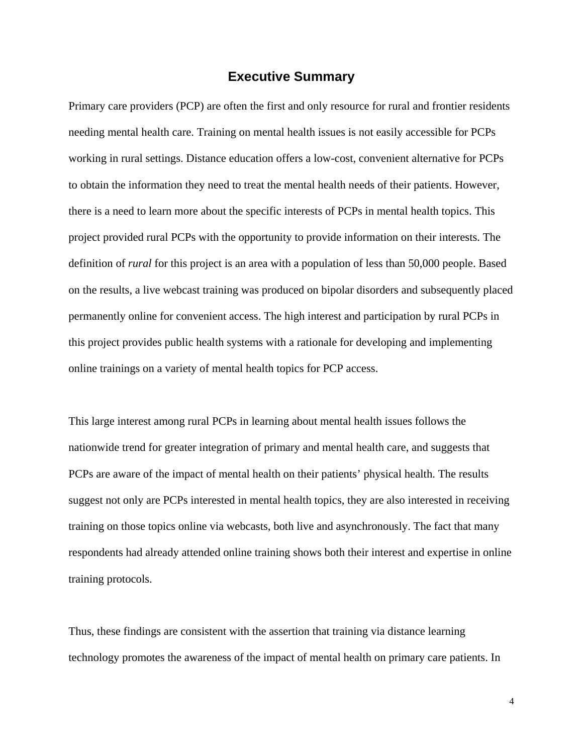## **Executive Summary**

<span id="page-3-0"></span>Primary care providers (PCP) are often the first and only resource for rural and frontier residents needing mental health care. Training on mental health issues is not easily accessible for PCPs working in rural settings. Distance education offers a low-cost, convenient alternative for PCPs to obtain the information they need to treat the mental health needs of their patients. However, there is a need to learn more about the specific interests of PCPs in mental health topics. This project provided rural PCPs with the opportunity to provide information on their interests. The definition of *rural* for this project is an area with a population of less than 50,000 people. Based on the results, a live webcast training was produced on bipolar disorders and subsequently placed permanently online for convenient access. The high interest and participation by rural PCPs in this project provides public health systems with a rationale for developing and implementing online trainings on a variety of mental health topics for PCP access.

This large interest among rural PCPs in learning about mental health issues follows the nationwide trend for greater integration of primary and mental health care, and suggests that PCPs are aware of the impact of mental health on their patients' physical health. The results suggest not only are PCPs interested in mental health topics, they are also interested in receiving training on those topics online via webcasts, both live and asynchronously. The fact that many respondents had already attended online training shows both their interest and expertise in online training protocols.

Thus, these findings are consistent with the assertion that training via distance learning technology promotes the awareness of the impact of mental health on primary care patients. In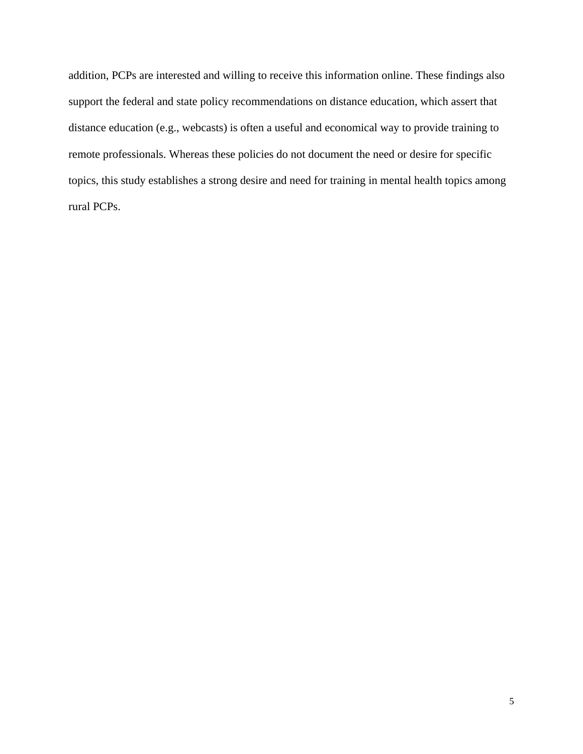addition, PCPs are interested and willing to receive this information online. These findings also support the federal and state policy recommendations on distance education, which assert that distance education (e.g., webcasts) is often a useful and economical way to provide training to remote professionals. Whereas these policies do not document the need or desire for specific topics, this study establishes a strong desire and need for training in mental health topics among rural PCPs.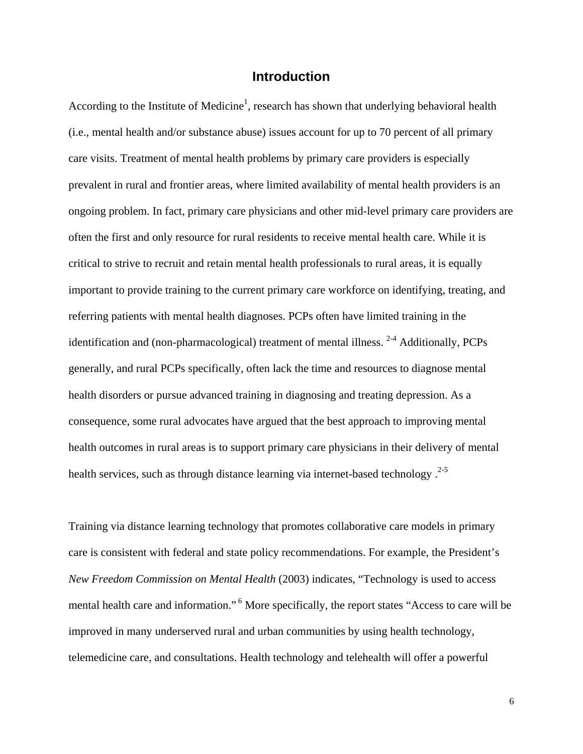## **Introduction**

<span id="page-5-0"></span>According to the Institute of Medicine<sup>1</sup>, research has shown that underlying behavioral health (i.e., mental health and/or substance abuse) issues account for up to 70 percent of all primary care visits. Treatment of mental health problems by primary care providers is especially prevalent in rural and frontier areas, where limited availability of mental health providers is an ongoing problem. In fact, primary care physicians and other mid-level primary care providers are often the first and only resource for rural residents to receive mental health care. While it is critical to strive to recruit and retain mental health professionals to rural areas, it is equally important to provide training to the current primary care workforce on identifying, treating, and referring patients with mental health diagnoses. PCPs often have limited training in the identification and (non-pharmacological) treatment of mental illness.  $2-4$  Additionally, PCPs generally, and rural PCPs specifically, often lack the time and resources to diagnose mental health disorders or pursue advanced training in diagnosing and treating depression. As a consequence, some rural advocates have argued that the best approach to improving mental health outcomes in rural areas is to support primary care physicians in their delivery of mental health services, such as through distance learning via internet-based technology.<sup>2-5</sup>

Training via distance learning technology that promotes collaborative care models in primary care is consistent with federal and state policy recommendations. For example, the President's *New Freedom Commission on Mental Health* (2003) indicates, "Technology is used to access mental health care and information." 6 More specifically, the report states "Access to care will be improved in many underserved rural and urban communities by using health technology, telemedicine care, and consultations. Health technology and telehealth will offer a powerful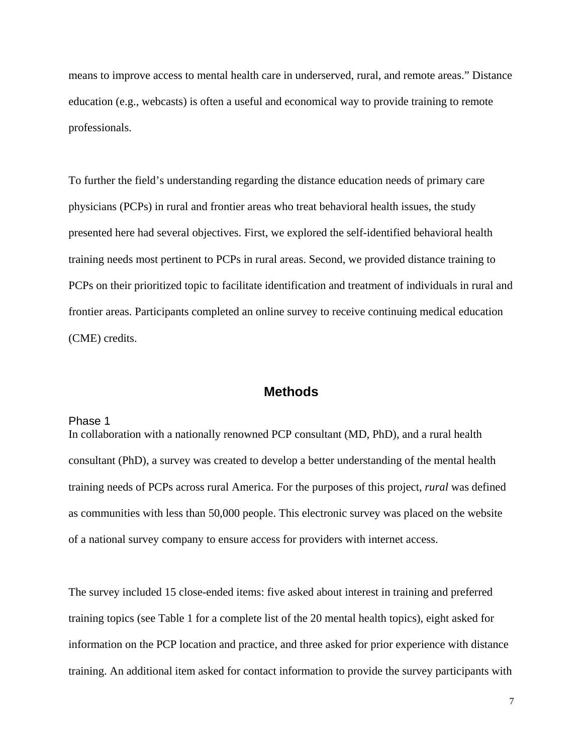<span id="page-6-0"></span>means to improve access to mental health care in underserved, rural, and remote areas." Distance education (e.g., webcasts) is often a useful and economical way to provide training to remote professionals.

To further the field's understanding regarding the distance education needs of primary care physicians (PCPs) in rural and frontier areas who treat behavioral health issues, the study presented here had several objectives. First, we explored the self-identified behavioral health training needs most pertinent to PCPs in rural areas. Second, we provided distance training to PCPs on their prioritized topic to facilitate identification and treatment of individuals in rural and frontier areas. Participants completed an online survey to receive continuing medical education (CME) credits.

## **Methods**

#### Phase 1

In collaboration with a nationally renowned PCP consultant (MD, PhD), and a rural health consultant (PhD), a survey was created to develop a better understanding of the mental health training needs of PCPs across rural America. For the purposes of this project, *rural* was defined as communities with less than 50,000 people. This electronic survey was placed on the website of a national survey company to ensure access for providers with internet access.

The survey included 15 close-ended items: five asked about interest in training and preferred training topics (see Table 1 for a complete list of the 20 mental health topics), eight asked for information on the PCP location and practice, and three asked for prior experience with distance training. An additional item asked for contact information to provide the survey participants with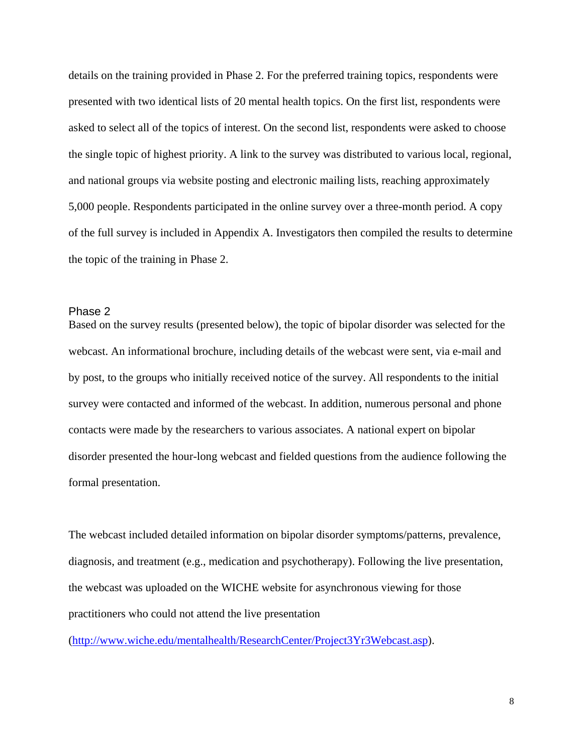<span id="page-7-0"></span>details on the training provided in Phase 2. For the preferred training topics, respondents were presented with two identical lists of 20 mental health topics. On the first list, respondents were asked to select all of the topics of interest. On the second list, respondents were asked to choose the single topic of highest priority. A link to the survey was distributed to various local, regional, and national groups via website posting and electronic mailing lists, reaching approximately 5,000 people. Respondents participated in the online survey over a three-month period. A copy of the full survey is included in Appendix A. Investigators then compiled the results to determine the topic of the training in Phase 2.

#### Phase 2

Based on the survey results (presented below), the topic of bipolar disorder was selected for the webcast. An informational brochure, including details of the webcast were sent, via e-mail and by post, to the groups who initially received notice of the survey. All respondents to the initial survey were contacted and informed of the webcast. In addition, numerous personal and phone contacts were made by the researchers to various associates. A national expert on bipolar disorder presented the hour-long webcast and fielded questions from the audience following the formal presentation.

The webcast included detailed information on bipolar disorder symptoms/patterns, prevalence, diagnosis, and treatment (e.g., medication and psychotherapy). Following the live presentation, the webcast was uploaded on the WICHE website for asynchronous viewing for those practitioners who could not attend the live presentation

([http://www.wiche.edu/mentalhealth/ResearchCenter/Project3Yr3Webcast.asp\)](http://www.wiche.edu/mentalhealth/ResearchCenter/Project3Yr3Webcast.asp).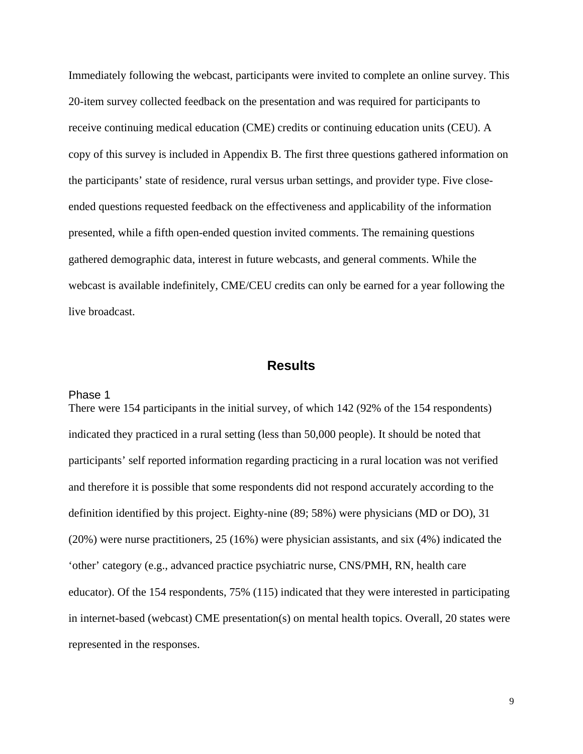<span id="page-8-0"></span>Immediately following the webcast, participants were invited to complete an online survey. This 20-item survey collected feedback on the presentation and was required for participants to receive continuing medical education (CME) credits or continuing education units (CEU). A copy of this survey is included in Appendix B. The first three questions gathered information on the participants' state of residence, rural versus urban settings, and provider type. Five closeended questions requested feedback on the effectiveness and applicability of the information presented, while a fifth open-ended question invited comments. The remaining questions gathered demographic data, interest in future webcasts, and general comments. While the webcast is available indefinitely, CME/CEU credits can only be earned for a year following the live broadcast.

## **Results**

#### Phase 1

There were 154 participants in the initial survey, of which 142 (92% of the 154 respondents) indicated they practiced in a rural setting (less than 50,000 people). It should be noted that participants' self reported information regarding practicing in a rural location was not verified and therefore it is possible that some respondents did not respond accurately according to the definition identified by this project. Eighty-nine (89; 58%) were physicians (MD or DO), 31 (20%) were nurse practitioners, 25 (16%) were physician assistants, and six (4%) indicated the 'other' category (e.g., advanced practice psychiatric nurse, CNS/PMH, RN, health care educator). Of the 154 respondents, 75% (115) indicated that they were interested in participating in internet-based (webcast) CME presentation(s) on mental health topics. Overall, 20 states were represented in the responses.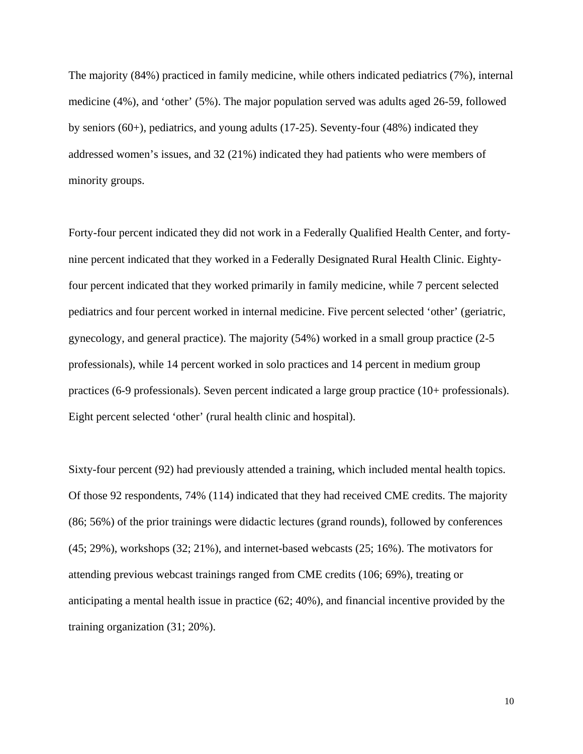The majority (84%) practiced in family medicine, while others indicated pediatrics (7%), internal medicine (4%), and 'other' (5%). The major population served was adults aged 26-59, followed by seniors (60+), pediatrics, and young adults (17-25). Seventy-four (48%) indicated they addressed women's issues, and 32 (21%) indicated they had patients who were members of minority groups.

Forty-four percent indicated they did not work in a Federally Qualified Health Center, and fortynine percent indicated that they worked in a Federally Designated Rural Health Clinic. Eightyfour percent indicated that they worked primarily in family medicine, while 7 percent selected pediatrics and four percent worked in internal medicine. Five percent selected 'other' (geriatric, gynecology, and general practice). The majority (54%) worked in a small group practice (2-5 professionals), while 14 percent worked in solo practices and 14 percent in medium group practices (6-9 professionals). Seven percent indicated a large group practice (10+ professionals). Eight percent selected 'other' (rural health clinic and hospital).

Sixty-four percent (92) had previously attended a training, which included mental health topics. Of those 92 respondents, 74% (114) indicated that they had received CME credits. The majority (86; 56%) of the prior trainings were didactic lectures (grand rounds), followed by conferences (45; 29%), workshops (32; 21%), and internet-based webcasts (25; 16%). The motivators for attending previous webcast trainings ranged from CME credits (106; 69%), treating or anticipating a mental health issue in practice (62; 40%), and financial incentive provided by the training organization (31; 20%).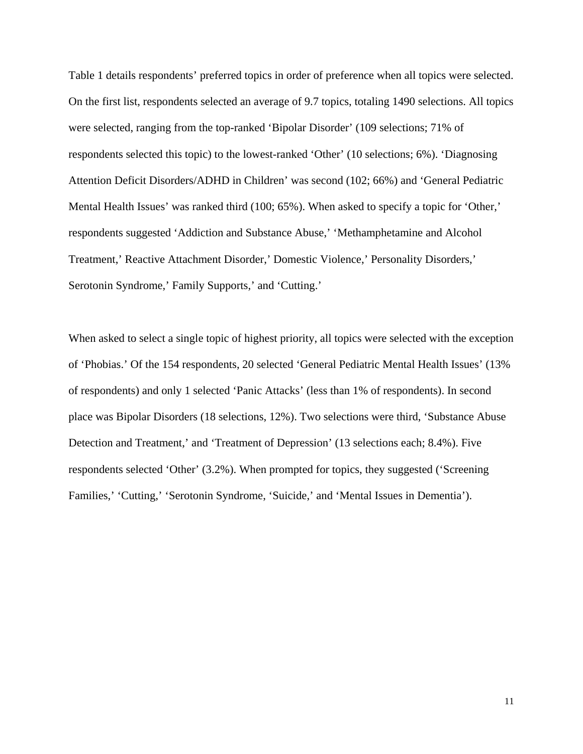Table 1 details respondents' preferred topics in order of preference when all topics were selected. On the first list, respondents selected an average of 9.7 topics, totaling 1490 selections. All topics were selected, ranging from the top-ranked 'Bipolar Disorder' (109 selections; 71% of respondents selected this topic) to the lowest-ranked 'Other' (10 selections; 6%). 'Diagnosing Attention Deficit Disorders/ADHD in Children' was second (102; 66%) and 'General Pediatric Mental Health Issues' was ranked third (100; 65%). When asked to specify a topic for 'Other,' respondents suggested 'Addiction and Substance Abuse,' 'Methamphetamine and Alcohol Treatment,' Reactive Attachment Disorder,' Domestic Violence,' Personality Disorders,' Serotonin Syndrome,' Family Supports,' and 'Cutting.'

When asked to select a single topic of highest priority, all topics were selected with the exception of 'Phobias.' Of the 154 respondents, 20 selected 'General Pediatric Mental Health Issues' (13% of respondents) and only 1 selected 'Panic Attacks' (less than 1% of respondents). In second place was Bipolar Disorders (18 selections, 12%). Two selections were third, 'Substance Abuse Detection and Treatment,' and 'Treatment of Depression' (13 selections each; 8.4%). Five respondents selected 'Other' (3.2%). When prompted for topics, they suggested ('Screening Families,' 'Cutting,' 'Serotonin Syndrome, 'Suicide,' and 'Mental Issues in Dementia').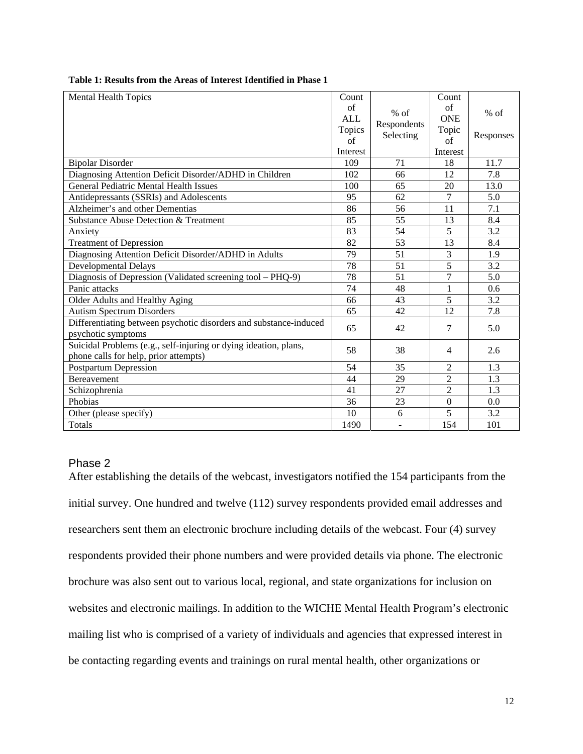| <b>Mental Health Topics</b>                                                                               | Count      |                                    | Count            |           |
|-----------------------------------------------------------------------------------------------------------|------------|------------------------------------|------------------|-----------|
|                                                                                                           | of         | $%$ of<br>Respondents<br>Selecting | $\sigma$ f       | $%$ of    |
|                                                                                                           | <b>ALL</b> |                                    | <b>ONE</b>       |           |
|                                                                                                           | Topics     |                                    | Topic            | Responses |
|                                                                                                           | of         |                                    | $\sigma$ f       |           |
|                                                                                                           | Interest   |                                    | Interest         |           |
| <b>Bipolar Disorder</b>                                                                                   | 109        | 71                                 | 18               | 11.7      |
| Diagnosing Attention Deficit Disorder/ADHD in Children                                                    | 102        | 66                                 | 12               | 7.8       |
| <b>General Pediatric Mental Health Issues</b>                                                             | 100        | 65                                 | 20               | 13.0      |
| Antidepressants (SSRIs) and Adolescents                                                                   | 95         | 62                                 | $\overline{7}$   | 5.0       |
| Alzheimer's and other Dementias                                                                           | 86         | 56                                 | 11               | 7.1       |
| Substance Abuse Detection & Treatment                                                                     | 85         | 55                                 | 13               | 8.4       |
| Anxiety                                                                                                   | 83         | 54                                 | 5                | 3.2       |
| <b>Treatment of Depression</b>                                                                            | 82         | 53                                 | 13               | 8.4       |
| Diagnosing Attention Deficit Disorder/ADHD in Adults                                                      | 79         | 51                                 | 3                | 1.9       |
| Developmental Delays                                                                                      | 78         | 51                                 | 5                | 3.2       |
| Diagnosis of Depression (Validated screening tool - PHQ-9)                                                | 78         | 51                                 | $\overline{7}$   | 5.0       |
| Panic attacks                                                                                             | 74         | 48                                 | 1                | 0.6       |
| Older Adults and Healthy Aging                                                                            | 66         | 43                                 | 5                | 3.2       |
| <b>Autism Spectrum Disorders</b>                                                                          | 65         | 42                                 | 12               | 7.8       |
| Differentiating between psychotic disorders and substance-induced<br>psychotic symptoms                   | 65         | 42                                 | 7                | 5.0       |
| Suicidal Problems (e.g., self-injuring or dying ideation, plans,<br>phone calls for help, prior attempts) | 58         | 38                                 | $\overline{4}$   | 2.6       |
| Postpartum Depression                                                                                     | 54         | 35                                 | $\overline{c}$   | 1.3       |
| <b>Bereavement</b>                                                                                        | 44         | 29                                 | $\overline{2}$   | 1.3       |
| Schizophrenia                                                                                             | 41         | 27                                 | $\overline{2}$   | 1.3       |
| Phobias                                                                                                   | 36         | 23                                 | $\boldsymbol{0}$ | 0.0       |
| Other (please specify)                                                                                    | 10         | 6                                  | 5                | 3.2       |
| Totals                                                                                                    | 1490       |                                    | 154              | 101       |

#### <span id="page-11-0"></span>**Table 1: Results from the Areas of Interest Identified in Phase 1**

#### Phase 2

After establishing the details of the webcast, investigators notified the 154 participants from the initial survey. One hundred and twelve (112) survey respondents provided email addresses and researchers sent them an electronic brochure including details of the webcast. Four (4) survey respondents provided their phone numbers and were provided details via phone. The electronic brochure was also sent out to various local, regional, and state organizations for inclusion on websites and electronic mailings. In addition to the WICHE Mental Health Program's electronic mailing list who is comprised of a variety of individuals and agencies that expressed interest in be contacting regarding events and trainings on rural mental health, other organizations or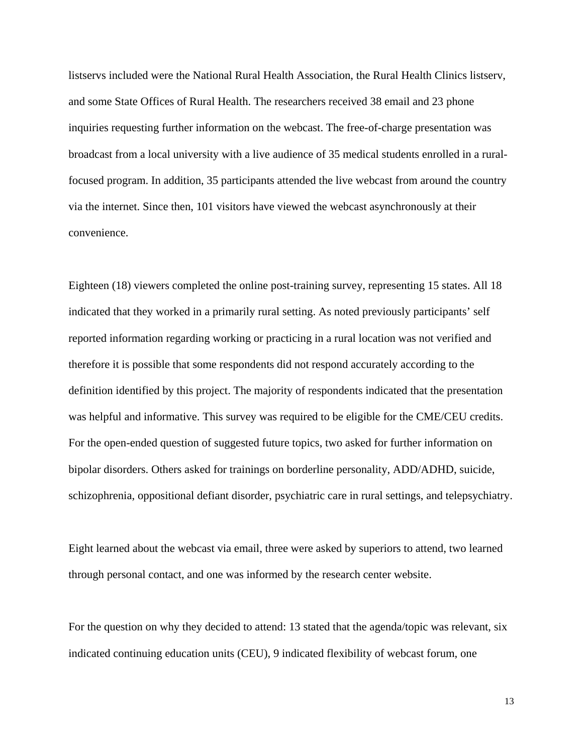listservs included were the National Rural Health Association, the Rural Health Clinics listserv, and some State Offices of Rural Health. The researchers received 38 email and 23 phone inquiries requesting further information on the webcast. The free-of-charge presentation was broadcast from a local university with a live audience of 35 medical students enrolled in a ruralfocused program. In addition, 35 participants attended the live webcast from around the country via the internet. Since then, 101 visitors have viewed the webcast asynchronously at their convenience.

Eighteen (18) viewers completed the online post-training survey, representing 15 states. All 18 indicated that they worked in a primarily rural setting. As noted previously participants' self reported information regarding working or practicing in a rural location was not verified and therefore it is possible that some respondents did not respond accurately according to the definition identified by this project. The majority of respondents indicated that the presentation was helpful and informative. This survey was required to be eligible for the CME/CEU credits. For the open-ended question of suggested future topics, two asked for further information on bipolar disorders. Others asked for trainings on borderline personality, ADD/ADHD, suicide, schizophrenia, oppositional defiant disorder, psychiatric care in rural settings, and telepsychiatry.

Eight learned about the webcast via email, three were asked by superiors to attend, two learned through personal contact, and one was informed by the research center website.

For the question on why they decided to attend: 13 stated that the agenda/topic was relevant, six indicated continuing education units (CEU), 9 indicated flexibility of webcast forum, one

13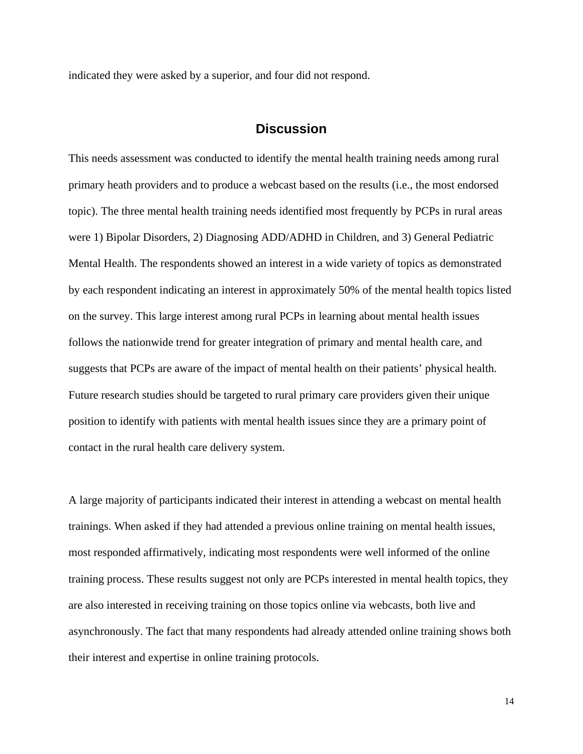<span id="page-13-0"></span>indicated they were asked by a superior, and four did not respond.

## **Discussion**

This needs assessment was conducted to identify the mental health training needs among rural primary heath providers and to produce a webcast based on the results (i.e., the most endorsed topic). The three mental health training needs identified most frequently by PCPs in rural areas were 1) Bipolar Disorders, 2) Diagnosing ADD/ADHD in Children, and 3) General Pediatric Mental Health. The respondents showed an interest in a wide variety of topics as demonstrated by each respondent indicating an interest in approximately 50% of the mental health topics listed on the survey. This large interest among rural PCPs in learning about mental health issues follows the nationwide trend for greater integration of primary and mental health care, and suggests that PCPs are aware of the impact of mental health on their patients' physical health. Future research studies should be targeted to rural primary care providers given their unique position to identify with patients with mental health issues since they are a primary point of contact in the rural health care delivery system.

A large majority of participants indicated their interest in attending a webcast on mental health trainings. When asked if they had attended a previous online training on mental health issues, most responded affirmatively, indicating most respondents were well informed of the online training process. These results suggest not only are PCPs interested in mental health topics, they are also interested in receiving training on those topics online via webcasts, both live and asynchronously. The fact that many respondents had already attended online training shows both their interest and expertise in online training protocols.

14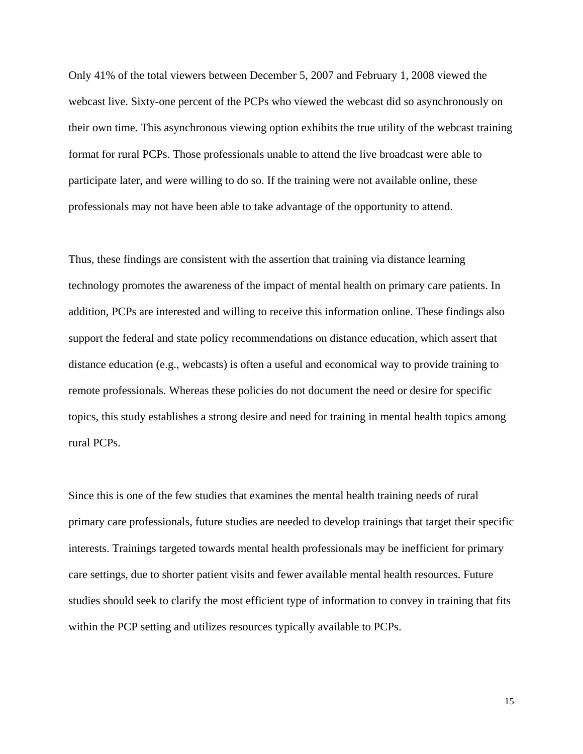Only 41% of the total viewers between December 5, 2007 and February 1, 2008 viewed the webcast live. Sixty-one percent of the PCPs who viewed the webcast did so asynchronously on their own time. This asynchronous viewing option exhibits the true utility of the webcast training format for rural PCPs. Those professionals unable to attend the live broadcast were able to participate later, and were willing to do so. If the training were not available online, these professionals may not have been able to take advantage of the opportunity to attend.

Thus, these findings are consistent with the assertion that training via distance learning technology promotes the awareness of the impact of mental health on primary care patients. In addition, PCPs are interested and willing to receive this information online. These findings also support the federal and state policy recommendations on distance education, which assert that distance education (e.g., webcasts) is often a useful and economical way to provide training to remote professionals. Whereas these policies do not document the need or desire for specific topics, this study establishes a strong desire and need for training in mental health topics among rural PCPs.

Since this is one of the few studies that examines the mental health training needs of rural primary care professionals, future studies are needed to develop trainings that target their specific interests. Trainings targeted towards mental health professionals may be inefficient for primary care settings, due to shorter patient visits and fewer available mental health resources. Future studies should seek to clarify the most efficient type of information to convey in training that fits within the PCP setting and utilizes resources typically available to PCPs.

15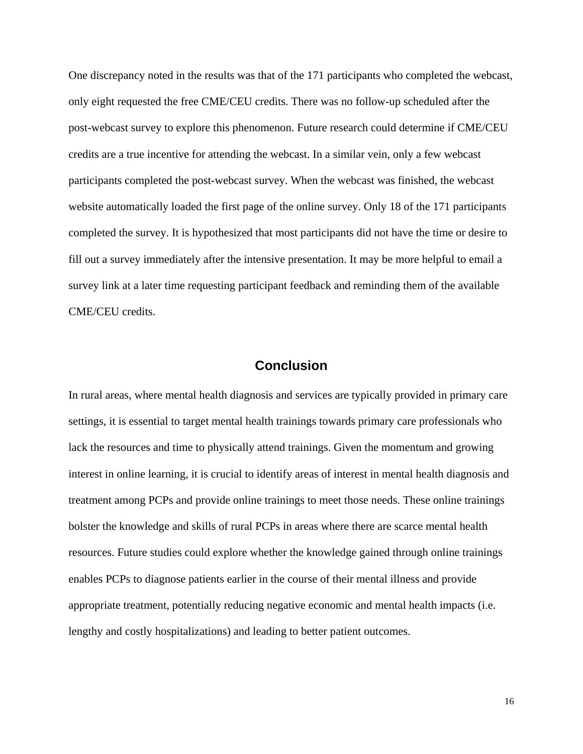<span id="page-15-0"></span>One discrepancy noted in the results was that of the 171 participants who completed the webcast, only eight requested the free CME/CEU credits. There was no follow-up scheduled after the post-webcast survey to explore this phenomenon. Future research could determine if CME/CEU credits are a true incentive for attending the webcast. In a similar vein, only a few webcast participants completed the post-webcast survey. When the webcast was finished, the webcast website automatically loaded the first page of the online survey. Only 18 of the 171 participants completed the survey. It is hypothesized that most participants did not have the time or desire to fill out a survey immediately after the intensive presentation. It may be more helpful to email a survey link at a later time requesting participant feedback and reminding them of the available CME/CEU credits.

## **Conclusion**

In rural areas, where mental health diagnosis and services are typically provided in primary care settings, it is essential to target mental health trainings towards primary care professionals who lack the resources and time to physically attend trainings. Given the momentum and growing interest in online learning, it is crucial to identify areas of interest in mental health diagnosis and treatment among PCPs and provide online trainings to meet those needs. These online trainings bolster the knowledge and skills of rural PCPs in areas where there are scarce mental health resources. Future studies could explore whether the knowledge gained through online trainings enables PCPs to diagnose patients earlier in the course of their mental illness and provide appropriate treatment, potentially reducing negative economic and mental health impacts (i.e. lengthy and costly hospitalizations) and leading to better patient outcomes.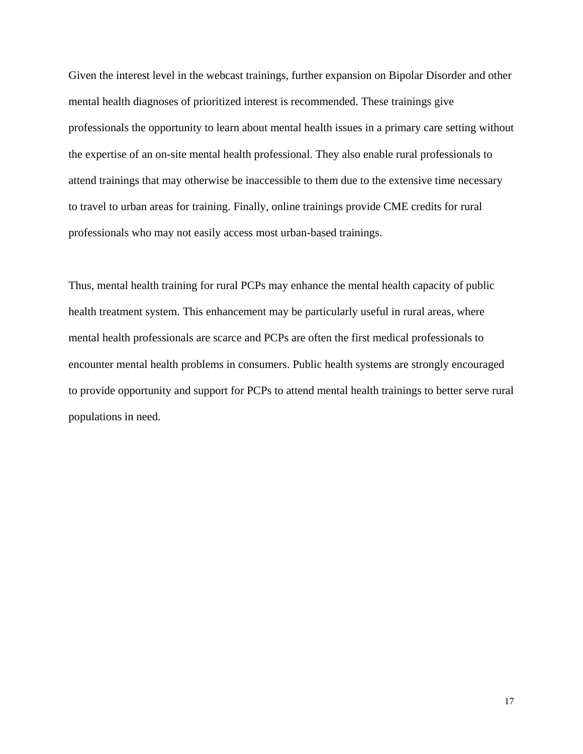Given the interest level in the webcast trainings, further expansion on Bipolar Disorder and other mental health diagnoses of prioritized interest is recommended. These trainings give professionals the opportunity to learn about mental health issues in a primary care setting without the expertise of an on-site mental health professional. They also enable rural professionals to attend trainings that may otherwise be inaccessible to them due to the extensive time necessary to travel to urban areas for training. Finally, online trainings provide CME credits for rural professionals who may not easily access most urban-based trainings.

Thus, mental health training for rural PCPs may enhance the mental health capacity of public health treatment system. This enhancement may be particularly useful in rural areas, where mental health professionals are scarce and PCPs are often the first medical professionals to encounter mental health problems in consumers. Public health systems are strongly encouraged to provide opportunity and support for PCPs to attend mental health trainings to better serve rural populations in need.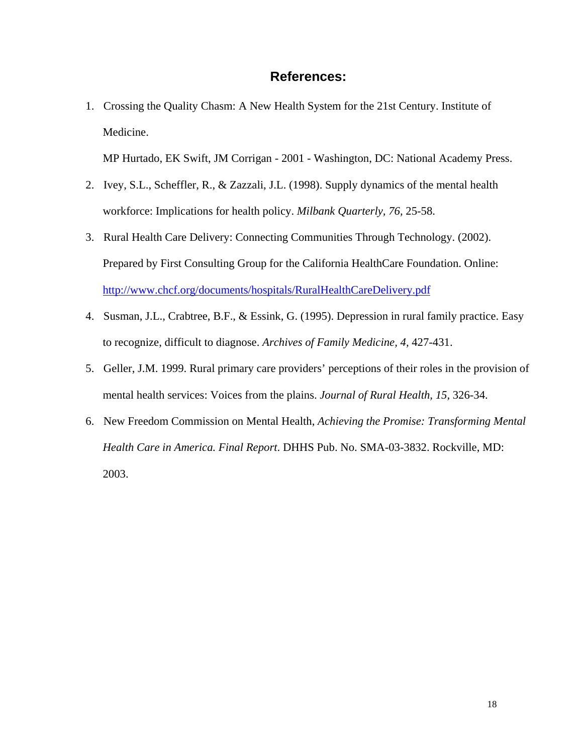## **References:**

<span id="page-17-0"></span>1. Crossing the Quality Chasm: A New Health System for the 21st Century. Institute of Medicine.

MP Hurtado, EK Swift, JM Corrigan - 2001 - Washington, DC: National Academy Press.

- 2. Ivey, S.L., Scheffler, R., & Zazzali, J.L. (1998). Supply dynamics of the mental health workforce: Implications for health policy. *Milbank Quarterly, 76,* 25-58.
- 3. Rural Health Care Delivery: Connecting Communities Through Technology. (2002). Prepared by First Consulting Group for the California HealthCare Foundation. Online: <http://www.chcf.org/documents/hospitals/RuralHealthCareDelivery.pdf>
- 4. Susman, J.L., Crabtree, B.F., & Essink, G. (1995). Depression in rural family practice. Easy to recognize, difficult to diagnose. *Archives of Family Medicine, 4,* 427-431.
- 5. Geller, J.M. 1999. Rural primary care providers' perceptions of their roles in the provision of mental health services: Voices from the plains. *Journal of Rural Health, 15,* 326-34.
- 6. New Freedom Commission on Mental Health, *Achieving the Promise: Transforming Mental Health Care in America. Final Report*. DHHS Pub. No. SMA-03-3832. Rockville, MD: 2003.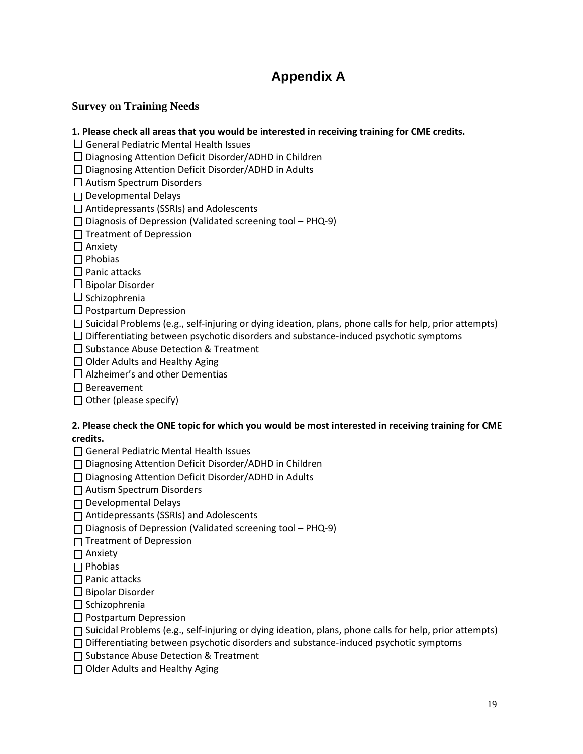## **Appendix A**

## <span id="page-18-0"></span>**Survey on Training Needs**

#### **1. Please check all areas that you would be interested in receiving training for CME credits.**

 $\Box$  General Pediatric Mental Health Issues

 $\square$  Diagnosing Attention Deficit Disorder/ADHD in Children

 $\square$  Diagnosing Attention Deficit Disorder/ADHD in Adults

□ Autism Spectrum Disorders

Developmental Delays

□ Antidepressants (SSRIs) and Adolescents

Diagnosis of Depression (Validated screening tool – PHQ‐9)

 $\Box$  Treatment of Depression

□ Anxiety

 $\Box$  Phobias

 $\Box$  Panic attacks

 $\Box$  Bipolar Disorder

 $\square$  Schizophrenia

 $\Box$  Postpartum Depression

Suicidal Problems (e.g., self‐injuring or dying ideation, plans, phone calls for help, prior attempts)

 $\square$  Differentiating between psychotic disorders and substance-induced psychotic symptoms

 $\square$  Substance Abuse Detection & Treatment

 $\Box$  Older Adults and Healthy Aging

 $\Box$  Alzheimer's and other Dementias

 $\Box$  Bereavement

 $\Box$  Other (please specify)

#### **2. Please check the ONE topic for which you would be most interested in receiving training for CME credits.**

□ General Pediatric Mental Health Issues

□ Diagnosing Attention Deficit Disorder/ADHD in Children

□ Diagnosing Attention Deficit Disorder/ADHD in Adults

□ Autism Spectrum Disorders

 $\Box$  Developmental Delays

Antidepressants (SSRIs) and Adolescents

Diagnosis of Depression (Validated screening tool – PHQ‐9)

 $\Box$  Treatment of Depression

**□** Anxiety

 $\Box$  Phobias

 $\Box$  Panic attacks

 $\Box$  Bipolar Disorder

 $\Box$  Schizophrenia

 $\Box$  Postpartum Depression

Suicidal Problems (e.g., self‐injuring or dying ideation, plans, phone calls for help, prior attempts)

Differentiating between psychotic disorders and substance‐induced psychotic symptoms

 $\Box$  Substance Abuse Detection & Treatment

 $\Box$  Older Adults and Healthy Aging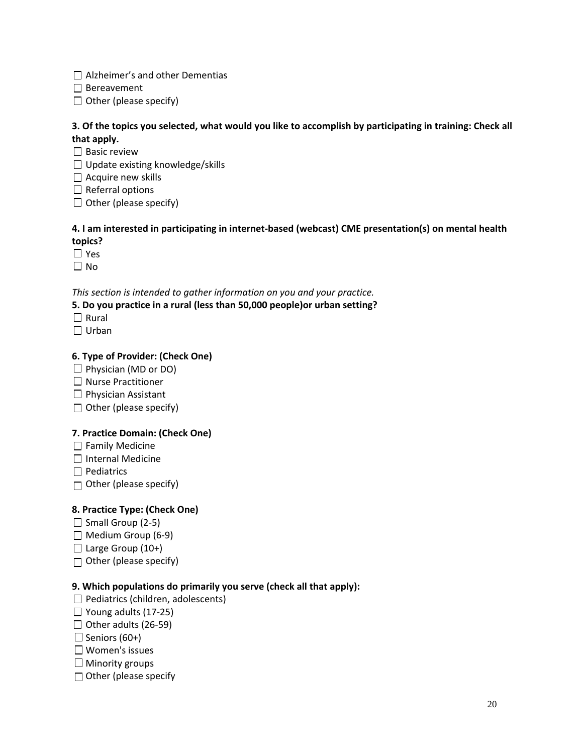$\Box$  Alzheimer's and other Dementias

 $\Box$  Bereavement

 $\Box$  Other (please specify)

### 3. Of the topics you selected, what would you like to accomplish by participating in training: Check all **that apply.**

 $\square$  Basic review

 $\Box$  Update existing knowledge/skills

 $\Box$  Acquire new skills

 $\Box$  Referral options

 $\Box$  Other (please specify)

### **4. I am interested in participating in internet‐based (webcast) CME presentation(s) on mental health topics?**

Yes

 $\Box$  No

*This section is intended to gather information on you and your practice.*

**5. Do you practice in a rural (less than 50,000 people)or urban setting?**

- $\Box$  Rural
- □ Urban

## **6. Type of Provider: (Check One)**

- $\Box$  Physician (MD or DO)
- $\Box$  Nurse Practitioner
- $\Box$  Physician Assistant
- $\Box$  Other (please specify)

### **7. Practice Domain: (Check One)**

- $\Box$  Family Medicine
- $\Box$  Internal Medicine

 $\Box$  Pediatrics

 $\Box$  Other (please specify)

### **8. Practice Type: (Check One)**

- $\Box$  Small Group (2-5)
- $\Box$  Medium Group (6-9)
- $\Box$  Large Group (10+)
- $\Box$  Other (please specify)

### **9. Which populations do primarily you serve (check all that apply):**

- $\Box$  Pediatrics (children, adolescents)
- Young adults (17‐25)
- $\Box$  Other adults (26-59)
- $\Box$  Seniors (60+)
- Women's issues
- $\Box$  Minority groups
- $\Box$  Other (please specify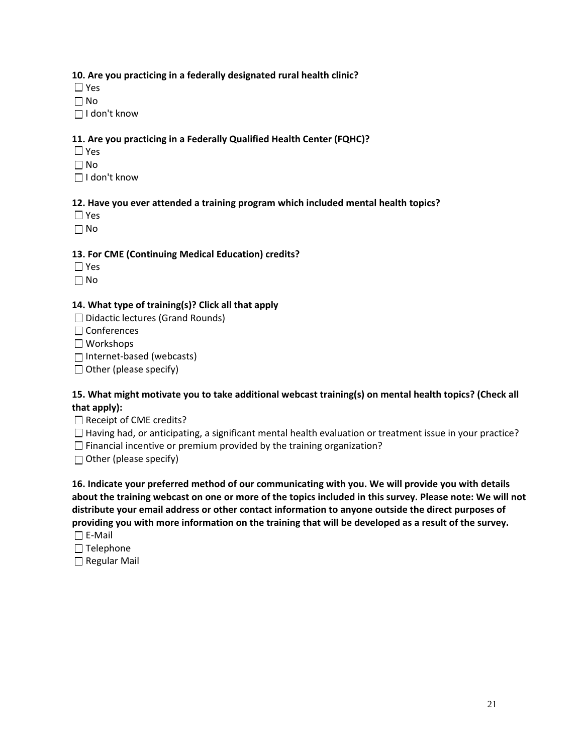#### **10. Are you practicing in a federally designated rural health clinic?**

Yes

 $\Box$  No

I don't know

### **11. Are you practicing in a Federally Qualified Health Center (FQHC)?**

- □ Yes
- $\Box$  No
- I don't know

## **12. Have you ever attended a training program which included mental health topics?**

- □ Yes
- $\Box$  No

## **13. For CME (Continuing Medical Education) credits?**

- Yes
- $\Box$  No

### **14. What type of training(s)? Click all that apply**

- $\Box$  Didactic lectures (Grand Rounds)
- □ Conferences
- Workshops

Internet‐based (webcasts)

 $\Box$  Other (please specify)

#### **15. What might motivate you to take additional webcast training(s) on mental health topics? (Check all that apply):**

- $\Box$  Receipt of CME credits?
- $\Box$  Having had, or anticipating, a significant mental health evaluation or treatment issue in your practice?
- $\Box$  Financial incentive or premium provided by the training organization?
- $\Box$  Other (please specify)

**16. Indicate your preferred method of our communicating with you. We will provide you with details** about the training webcast on one or more of the topics included in this survey. Please note: We will not **distribute your email address or other contact information to anyone outside the direct purposes of** providing you with more information on the training that will be developed as a result of the survey. E‐Mail

- $\Box$  Telephone
- □ Regular Mail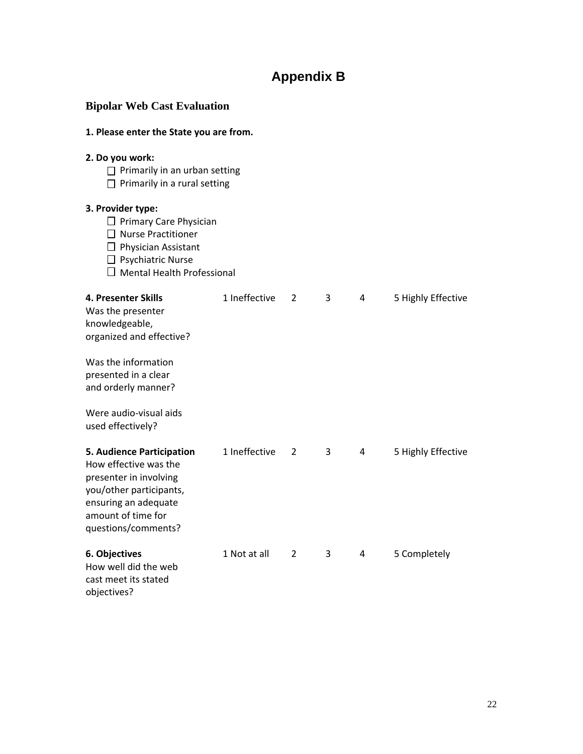## **Appendix B**

<span id="page-21-0"></span>

| <b>Bipolar Web Cast Evaluation</b><br>1. Please enter the State you are from.                                                                                                       |               |                |   |   |                    |  |  |
|-------------------------------------------------------------------------------------------------------------------------------------------------------------------------------------|---------------|----------------|---|---|--------------------|--|--|
|                                                                                                                                                                                     |               |                |   |   |                    |  |  |
| 3. Provider type:<br>□ Primary Care Physician<br>$\Box$ Nurse Practitioner<br>$\Box$ Physician Assistant<br>$\Box$ Psychiatric Nurse<br>$\Box$ Mental Health Professional           |               |                |   |   |                    |  |  |
| <b>4. Presenter Skills</b><br>Was the presenter<br>knowledgeable,<br>organized and effective?                                                                                       | 1 Ineffective | $\overline{2}$ | 3 | 4 | 5 Highly Effective |  |  |
| Was the information<br>presented in a clear<br>and orderly manner?                                                                                                                  |               |                |   |   |                    |  |  |
| Were audio-visual aids<br>used effectively?                                                                                                                                         |               |                |   |   |                    |  |  |
| <b>5. Audience Participation</b><br>How effective was the<br>presenter in involving<br>you/other participants,<br>ensuring an adequate<br>amount of time for<br>questions/comments? | 1 Ineffective | 2              | 3 | 4 | 5 Highly Effective |  |  |
| 6. Objectives<br>How well did the web<br>cast meet its stated<br>objectives?                                                                                                        | 1 Not at all  | 2              | 3 | 4 | 5 Completely       |  |  |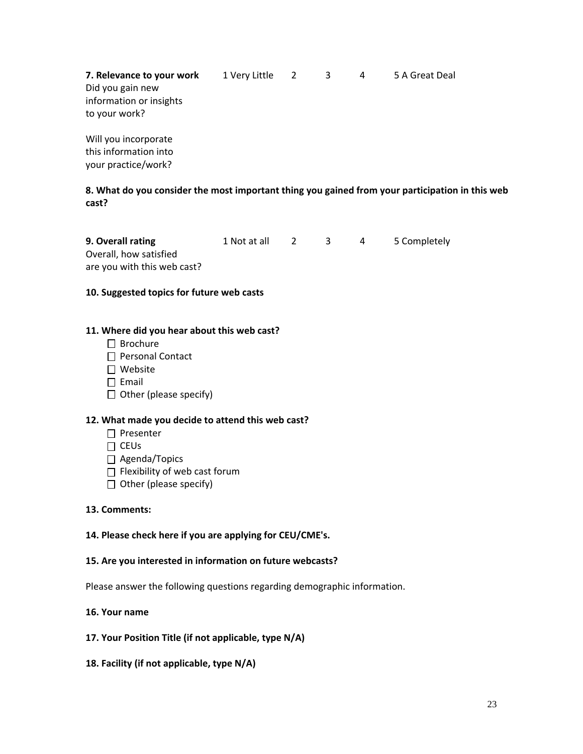**7. Relevance to your work**  1 Very Little 2 3 4 5 A Great Deal Did you gain new information or insights to your work?  Will you incorporate

this information into your practice/work?

**8. What do you consider the most important thing you gained from your participation in this web cast?**

**9. Overall rating**  1 Not at all 2 3 4 5 Completely Overall, how satisfied are you with this web cast?

#### **10. Suggested topics for future web casts**

#### **11. Where did you hear about this web cast?**

- $\Box$  Brochure
- □ Personal Contact
- Website
- $\square$  Email
- $\Box$  Other (please specify)

#### **12. What made you decide to attend this web cast?**

- □ Presenter
- $\Box$  CEUs
- □ Agenda/Topics
- $\Box$  Flexibility of web cast forum
- $\Box$  Other (please specify)

#### **13. Comments:**

#### **14. Please check here if you are applying for CEU/CME's.**

#### **15. Are you interested in information on future webcasts?**

Please answer the following questions regarding demographic information.

#### **16. Your name**

#### **17. Your Position Title (if not applicable, type N/A)**

**18. Facility (if not applicable, type N/A)**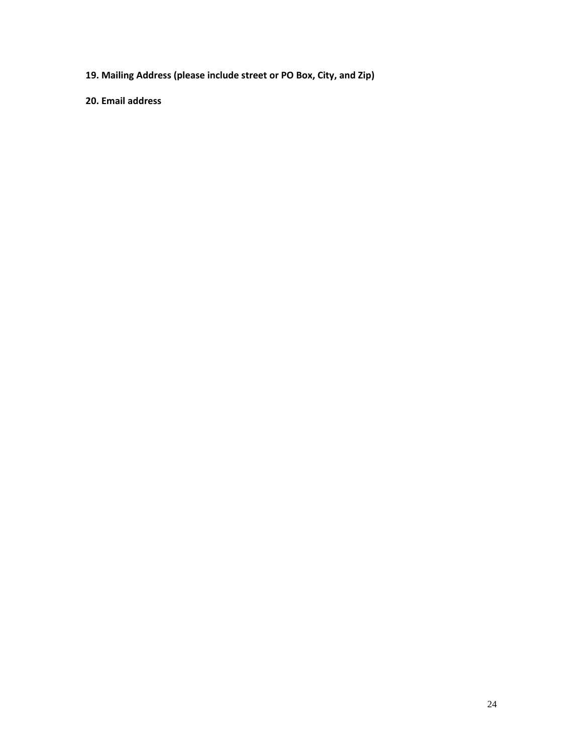**19. Mailing Address (please include street or PO Box, City, and Zip)**

**20. Email address**